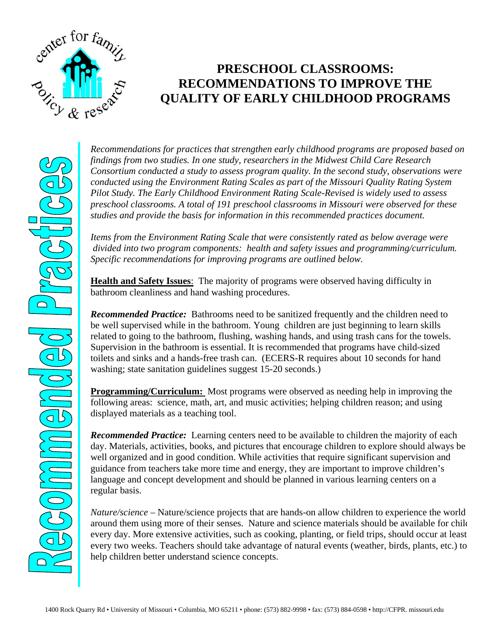

## **PRESCHOOL CLASSROOMS: RECOMMENDATIONS TO IMPROVE THE QUALITY OF EARLY CHILDHOOD PROGRAMS**

*Recommendations for practices that strengthen early childhood programs are proposed based on findings from two studies. In one study, researchers in the Midwest Child Care Research Consortium conducted a study to assess program quality. In the second study, observations were conducted using the Environment Rating Scales as part of the Missouri Quality Rating System Pilot Study. The Early Childhood Environment Rating Scale-Revised is widely used to assess preschool classrooms. A total of 191 preschool classrooms in Missouri were observed for these studies and provide the basis for information in this recommended practices document.* 

*Items from the Environment Rating Scale that were consistently rated as below average were divided into two program components: health and safety issues and programming/curriculum. Specific recommendations for improving programs are outlined below.* 

**Health and Safety Issues**: The majority of programs were observed having difficulty in bathroom cleanliness and hand washing procedures.

*Recommended Practice:* Bathrooms need to be sanitized frequently and the children need to be well supervised while in the bathroom. Young children are just beginning to learn skills related to going to the bathroom, flushing, washing hands, and using trash cans for the towels. Supervision in the bathroom is essential. It is recommended that programs have child-sized toilets and sinks and a hands-free trash can. (ECERS-R requires about 10 seconds for hand washing; state sanitation guidelines suggest 15-20 seconds.)

**Programming/Curriculum:** Most programs were observed as needing help in improving the following areas: science, math, art, and music activities; helping children reason; and using displayed materials as a teaching tool.

*Recommended Practice:* Learning centers need to be available to children the majority of each day. Materials, activities, books, and pictures that encourage children to explore should always be well organized and in good condition. While activities that require significant supervision and guidance from teachers take more time and energy, they are important to improve children's language and concept development and should be planned in various learning centers on a regular basis.

*Nature/science –* Nature/science projects that are hands-on allow children to experience the world around them using more of their senses. Nature and science materials should be available for child every day. More extensive activities, such as cooking, planting, or field trips, should occur at least every two weeks. Teachers should take advantage of natural events (weather, birds, plants, etc.) to help children better understand science concepts.